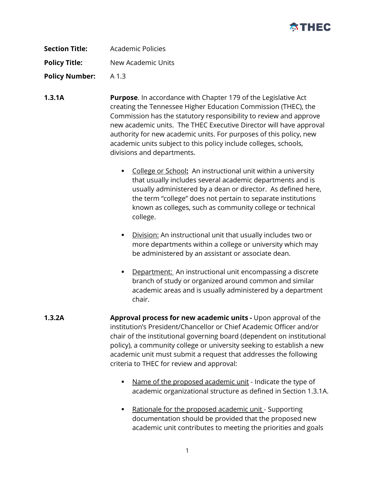

| <b>Section Title:</b> | Academic Policies  |
|-----------------------|--------------------|
| <b>Policy Title:</b>  | New Academic Units |
| <b>Policy Number:</b> | A 1.3              |

- **1.3.1A Purpose**. In accordance with Chapter 179 of the Legislative Act creating the Tennessee Higher Education Commission (THEC), the Commission has the statutory responsibility to review and approve new academic units. The THEC Executive Director will have approval authority for new academic units. For purposes of this policy, new academic units subject to this policy include colleges, schools, divisions and departments.
	- College or School**:** An instructional unit within a university that usually includes several academic departments and is usually administered by a dean or director. As defined here, the term "college" does not pertain to separate institutions known as colleges, such as community college or technical college.
	- Division: An instructional unit that usually includes two or more departments within a college or university which may be administered by an assistant or associate dean.
	- **Department:** An instructional unit encompassing a discrete branch of study or organized around common and similar academic areas and is usually administered by a department chair.
- **1.3.2A Approval process for new academic units -** Upon approval of the institution's President/Chancellor or Chief Academic Officer and/or chair of the institutional governing board (dependent on institutional policy), a community college or university seeking to establish a new academic unit must submit a request that addresses the following criteria to THEC for review and approval:
	- Name of the proposed academic unit Indicate the type of academic organizational structure as defined in Section 1.3.1A.
	- Rationale for the proposed academic unit Supporting documentation should be provided that the proposed new academic unit contributes to meeting the priorities and goals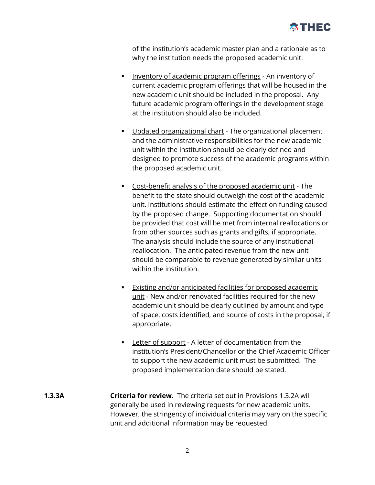

of the institution's academic master plan and a rationale as to why the institution needs the proposed academic unit.

- **Inventory of academic program offerings An inventory of** current academic program offerings that will be housed in the new academic unit should be included in the proposal. Any future academic program offerings in the development stage at the institution should also be included.
- Updated organizational chart The organizational placement and the administrative responsibilities for the new academic unit within the institution should be clearly defined and designed to promote success of the academic programs within the proposed academic unit.
- Cost-benefit analysis of the proposed academic unit The benefit to the state should outweigh the cost of the academic unit. Institutions should estimate the effect on funding caused by the proposed change. Supporting documentation should be provided that cost will be met from internal reallocations or from other sources such as grants and gifts, if appropriate. The analysis should include the source of any institutional reallocation. The anticipated revenue from the new unit should be comparable to revenue generated by similar units within the institution.
- Existing and/or anticipated facilities for proposed academic unit - New and/or renovated facilities required for the new academic unit should be clearly outlined by amount and type of space, costs identified, and source of costs in the proposal, if appropriate.
- **Letter of support** A letter of documentation from the institution's President/Chancellor or the Chief Academic Officer to support the new academic unit must be submitted. The proposed implementation date should be stated.
- **1.3.3A Criteria for review.** The criteria set out in Provisions 1.3.2A will generally be used in reviewing requests for new academic units. However, the stringency of individual criteria may vary on the specific unit and additional information may be requested.